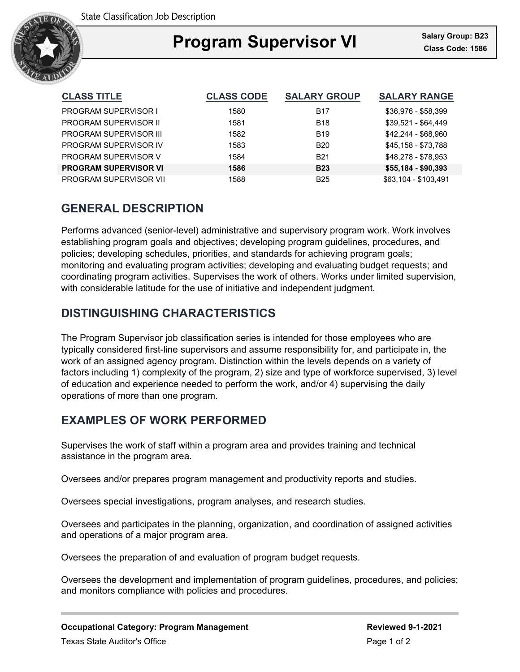

### Ξ **Program Supervisor VI Class Code: 1586**

| <b>CLASS TITLE</b>           | <b>CLASS CODE</b> | <b>SALARY GROUP</b> | <b>SALARY RANGE</b>  |
|------------------------------|-------------------|---------------------|----------------------|
| <b>PROGRAM SUPERVISOR I</b>  | 1580              | <b>B17</b>          | \$36,976 - \$58,399  |
| <b>PROGRAM SUPERVISOR II</b> | 1581              | <b>B18</b>          | \$39,521 - \$64,449  |
| PROGRAM SUPERVISOR III       | 1582              | <b>B19</b>          | \$42,244 - \$68,960  |
| PROGRAM SUPERVISOR IV        | 1583              | <b>B20</b>          | \$45,158 - \$73,788  |
| PROGRAM SUPERVISOR V         | 1584              | <b>B21</b>          | \$48.278 - \$78.953  |
| <b>PROGRAM SUPERVISOR VI</b> | 1586              | <b>B23</b>          | $$55,184 - $90,393$  |
| PROGRAM SUPERVISOR VII       | 1588              | B <sub>25</sub>     | \$63.104 - \$103.491 |

# **GENERAL DESCRIPTION**

Performs advanced (senior-level) administrative and supervisory program work. Work involves establishing program goals and objectives; developing program guidelines, procedures, and policies; developing schedules, priorities, and standards for achieving program goals; monitoring and evaluating program activities; developing and evaluating budget requests; and coordinating program activities. Supervises the work of others. Works under limited supervision, with considerable latitude for the use of initiative and independent judgment.

# **DISTINGUISHING CHARACTERISTICS**

The Program Supervisor job classification series is intended for those employees who are typically considered first-line supervisors and assume responsibility for, and participate in, the work of an assigned agency program. Distinction within the levels depends on a variety of factors including 1) complexity of the program, 2) size and type of workforce supervised, 3) level of education and experience needed to perform the work, and/or 4) supervising the daily operations of more than one program.

### **EXAMPLES OF WORK PERFORMED**

Supervises the work of staff within a program area and provides training and technical assistance in the program area.

Oversees and/or prepares program management and productivity reports and studies.

Oversees special investigations, program analyses, and research studies.

Oversees and participates in the planning, organization, and coordination of assigned activities and operations of a major program area.

Oversees the preparation of and evaluation of program budget requests.

Oversees the development and implementation of program guidelines, procedures, and policies; and monitors compliance with policies and procedures.